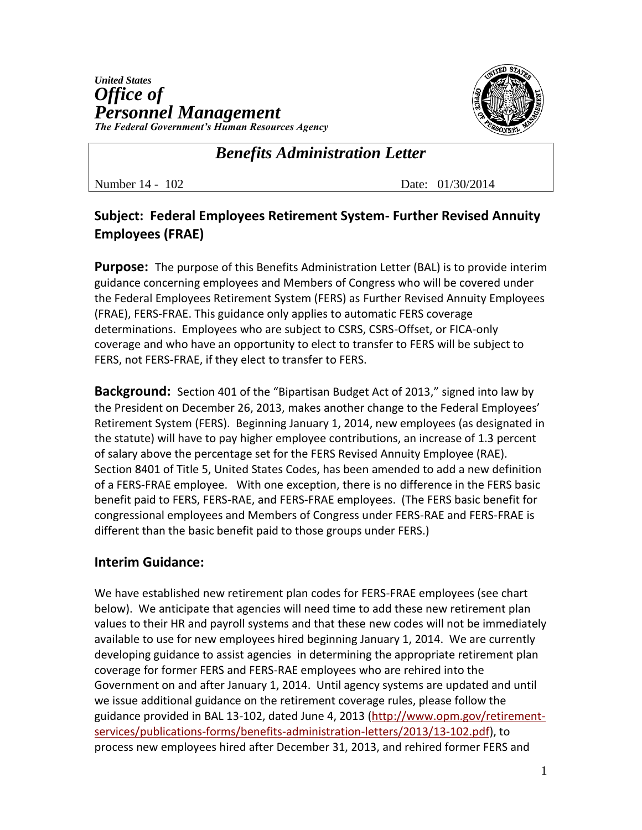

## *Benefits Administration Letter*

Number 14 - 102 Date: 01/30/2014

## **Subject: Federal Employees Retirement System- Further Revised Annuity Employees (FRAE)**

**Purpose:** The purpose of this Benefits Administration Letter (BAL) is to provide interim guidance concerning employees and Members of Congress who will be covered under the Federal Employees Retirement System (FERS) as Further Revised Annuity Employees (FRAE), FERS-FRAE. This guidance only applies to automatic FERS coverage determinations. Employees who are subject to CSRS, CSRS-Offset, or FICA-only coverage and who have an opportunity to elect to transfer to FERS will be subject to FERS, not FERS-FRAE, if they elect to transfer to FERS.

**Background:** Section 401 of the "Bipartisan Budget Act of 2013," signed into law by the President on December 26, 2013, makes another change to the Federal Employees' Retirement System (FERS). Beginning January 1, 2014, new employees (as designated in the statute) will have to pay higher employee contributions, an increase of 1.3 percent of salary above the percentage set for the FERS Revised Annuity Employee (RAE). Section 8401 of Title 5, United States Codes, has been amended to add a new definition of a FERS-FRAE employee. With one exception, there is no difference in the FERS basic benefit paid to FERS, FERS-RAE, and FERS-FRAE employees. (The FERS basic benefit for congressional employees and Members of Congress under FERS-RAE and FERS-FRAE is different than the basic benefit paid to those groups under FERS.)

## **Interim Guidance:**

We have established new retirement plan codes for FERS-FRAE employees (see chart below). We anticipate that agencies will need time to add these new retirement plan values to their HR and payroll systems and that these new codes will not be immediately available to use for new employees hired beginning January 1, 2014. We are currently developing guidance to assist agencies in determining the appropriate retirement plan coverage for former FERS and FERS-RAE employees who are rehired into the Government on and after January 1, 2014. Until agency systems are updated and until we issue additional guidance on the retirement coverage rules, please follow the guidance provided in BAL 13-102, dated June 4, 2013 [\(http://www.opm.gov/retirement](http://www.opm.gov/retirement-services/publications-forms/benefits-administration-letters/2013/13-102.pdf)[services/publications-forms/benefits-administration-letters/2013/13-102.pdf\)](http://www.opm.gov/retirement-services/publications-forms/benefits-administration-letters/2013/13-102.pdf), to process new employees hired after December 31, 2013, and rehired former FERS and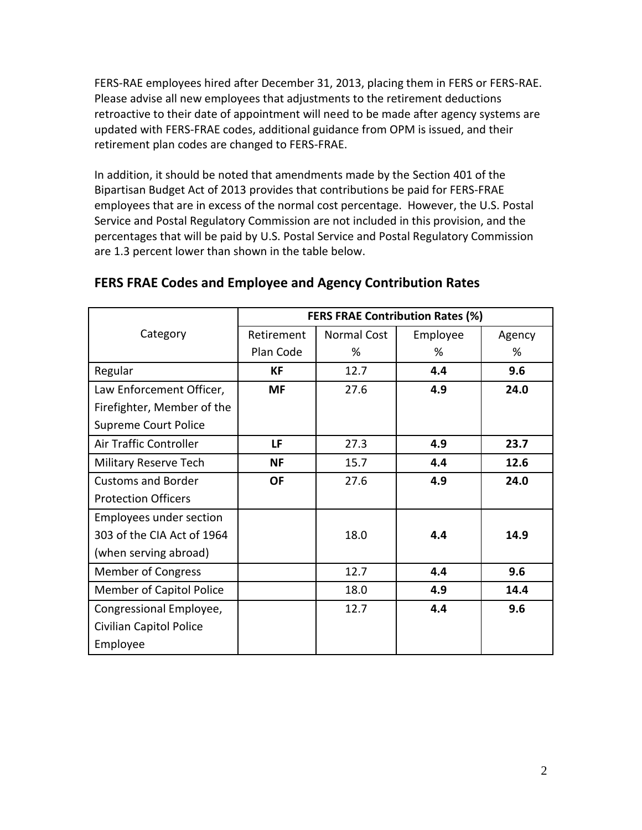FERS-RAE employees hired after December 31, 2013, placing them in FERS or FERS-RAE. Please advise all new employees that adjustments to the retirement deductions retroactive to their date of appointment will need to be made after agency systems are updated with FERS-FRAE codes, additional guidance from OPM is issued, and their retirement plan codes are changed to FERS-FRAE.

In addition, it should be noted that amendments made by the Section 401 of the Bipartisan Budget Act of 2013 provides that contributions be paid for FERS-FRAE employees that are in excess of the normal cost percentage. However, the U.S. Postal Service and Postal Regulatory Commission are not included in this provision, and the percentages that will be paid by U.S. Postal Service and Postal Regulatory Commission are 1.3 percent lower than shown in the table below.

|                                 | <b>FERS FRAE Contribution Rates (%)</b> |             |          |        |
|---------------------------------|-----------------------------------------|-------------|----------|--------|
| Category                        | Retirement                              | Normal Cost | Employee | Agency |
|                                 | Plan Code                               | %           | %        | %      |
| Regular                         | КF                                      | 12.7        | 4.4      | 9.6    |
| Law Enforcement Officer,        | <b>MF</b>                               | 27.6        | 4.9      | 24.0   |
| Firefighter, Member of the      |                                         |             |          |        |
| Supreme Court Police            |                                         |             |          |        |
| Air Traffic Controller          | LF                                      | 27.3        | 4.9      | 23.7   |
| Military Reserve Tech           | <b>NF</b>                               | 15.7        | 4.4      | 12.6   |
| <b>Customs and Border</b>       | <b>OF</b>                               | 27.6        | 4.9      | 24.0   |
| <b>Protection Officers</b>      |                                         |             |          |        |
| Employees under section         |                                         |             |          |        |
| 303 of the CIA Act of 1964      |                                         | 18.0        | 4.4      | 14.9   |
| (when serving abroad)           |                                         |             |          |        |
| <b>Member of Congress</b>       |                                         | 12.7        | 4.4      | 9.6    |
| <b>Member of Capitol Police</b> |                                         | 18.0        | 4.9      | 14.4   |
| Congressional Employee,         |                                         | 12.7        | 4.4      | 9.6    |
| Civilian Capitol Police         |                                         |             |          |        |
| Employee                        |                                         |             |          |        |

## **FERS FRAE Codes and Employee and Agency Contribution Rates**